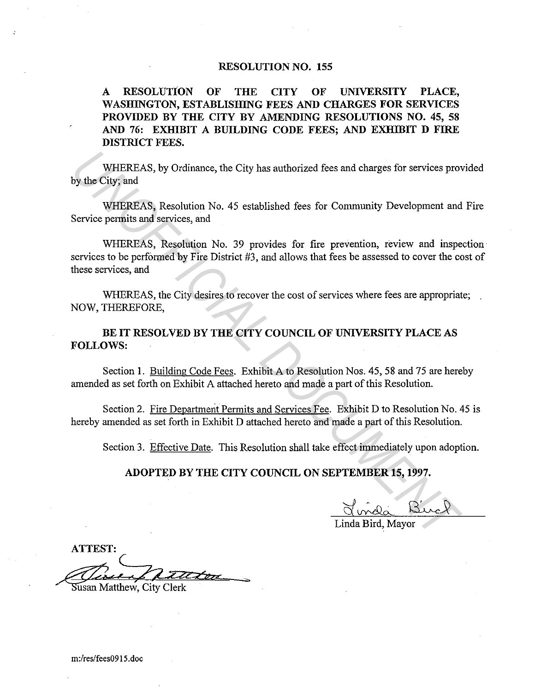### RESOLUTION NO. 155

A RESOLUTION OF THE CITY OF UNIVERSITY PLACE, WASHINGTON, ESTABLISHING FEES AND CHARGES FOR SERVICES PROVIDED BY THE CITY BY AMENDING RESOLUTIONS NO. 45, 58 AND 76: EXHIBIT A BUILDING CODE FEES; AND EXHIBIT D FIRE DISTRICT FEES.

WHEREAS, by Ordinance, the City has authorized fees and charges for services provided by the City; and

WHEREAS, Resolution No. 45 established fees for Community Development and Fire Service permits and services, and

WHEREAS, Resolution No. 39 provides for fire prevention, review and inspection services to be performed by Fire District #3, and allows that fees be assessed to cover the cost of these services, and WHEREAS, by Ordinance, the City has authorized fees and charges for services pro<br> **UNIFICIAL MANUATE CONTAINS** Resolution No. 45 established fees for Community Development and<br>
Service permits and services, and<br>
WHEREAS, R

WHEREAS, the City desires to recover the cost of services where fees are appropriate; NOW, THEREFORE,

BE IT RESOLVED BY THE CITY COUNCIL OF UNIVERSITY PLACE AS FOLLOWS:

Section 1. Building Code Fees. Exhibit A to Resolution Nos. 45, 58 and 75 are hereby amended as set forth on Exhibit A attached hereto and made a part of this Resolution.

Section 2. Fire Department Permits and Services Fee. Exhibit D to Resolution No. 45 is hereby amended as set forth in Exhibit D attached hereto and made a part of this Resolution.

Section 3. Effective Date. This Resolution shall take effect immediately upon adoption.

### ADOPTED BY THE CITY COUNCIL ON SEPTEMBER 15, 1997.

Linda Bird, Mayor

ATTEST: wasan Matthew, City Clerk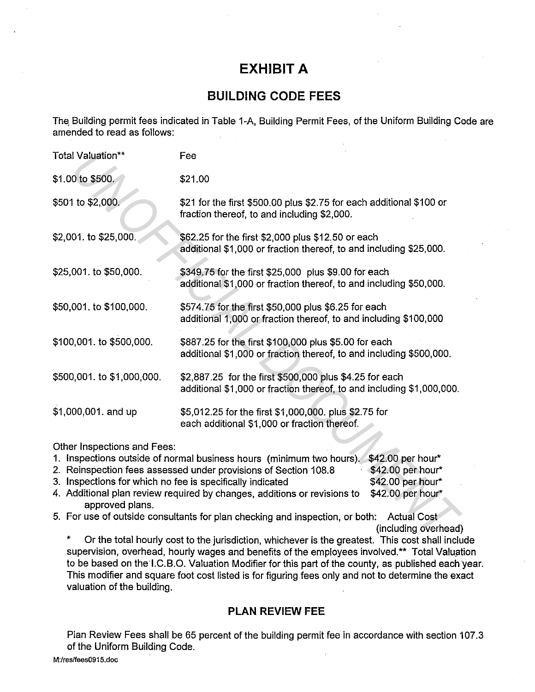# **EXHIBIT A**

## **BUILDING CODE FEES**

The Building permit fees indicated in Table 1-A, Building Permit Fees, of the Uniform Building Code are amended to read as follows:

| Total Valuation**                              | Fee                                                                                                                                                                                                                                                                                                                                                                                |                                                                                                           |  |
|------------------------------------------------|------------------------------------------------------------------------------------------------------------------------------------------------------------------------------------------------------------------------------------------------------------------------------------------------------------------------------------------------------------------------------------|-----------------------------------------------------------------------------------------------------------|--|
| \$1.00 to \$500.                               | \$21.00                                                                                                                                                                                                                                                                                                                                                                            |                                                                                                           |  |
| \$501 to \$2,000.                              | \$21 for the first \$500.00 plus \$2.75 for each additional \$100 or<br>fraction thereof, to and including \$2,000.                                                                                                                                                                                                                                                                |                                                                                                           |  |
| \$2,001. to \$25,000.                          | \$62.25 for the first \$2,000 plus \$12.50 or each<br>additional \$1,000 or fraction thereof, to and including \$25,000.                                                                                                                                                                                                                                                           |                                                                                                           |  |
| \$25,001. to \$50,000.                         | \$349.75 for the first \$25,000 plus \$9.00 for each<br>additional \$1,000 or fraction thereof, to and including \$50,000.                                                                                                                                                                                                                                                         |                                                                                                           |  |
| \$50,001. to \$100,000.                        | \$574.75 for the first \$50,000 plus \$6.25 for each<br>additional 1,000 or fraction thereof, to and including \$100,000                                                                                                                                                                                                                                                           |                                                                                                           |  |
| \$100,001. to \$500,000.                       | \$887.25 for the first \$100,000 plus \$5.00 for each<br>additional \$1,000 or fraction thereof, to and including \$500,000.                                                                                                                                                                                                                                                       |                                                                                                           |  |
| \$500,001. to \$1,000,000.                     | \$2,887.25 for the first \$500,000 plus \$4.25 for each<br>additional \$1,000 or fraction thereof, to and including \$1,000,000.                                                                                                                                                                                                                                                   |                                                                                                           |  |
| \$1,000,001. and up                            | \$5,012.25 for the first \$1,000,000. plus \$2.75 for<br>each additional \$1,000 or fraction thereof.                                                                                                                                                                                                                                                                              |                                                                                                           |  |
| Other Inspections and Fees:<br>approved plans. | 1. Inspections outside of normal business hours (minimum two hours). \$42.00 per hour*<br>2. Reinspection fees assessed under provisions of Section 108.8<br>3. Inspections for which no fee is specifically indicated<br>4. Additional plan review required by changes, additions or revisions to<br>5. For use of outside consultants for plan checking and inspection, or both: | \$42.00 per hour*<br>\$42.00 per hour*<br>\$42.00 per hour*<br><b>Actual Cost</b><br>(including overhead) |  |
|                                                | Or the total hourly cost to the jurisdiction, whichever is the greatest. This cost shall inclu                                                                                                                                                                                                                                                                                     |                                                                                                           |  |

- 1. Inspections outside of normal business hours (minimum two hours). \$42.00 per hour\*  $$42.00$  per hour\* \$42.00 per hour\* 2. Reinspection fees assessed under provisions of Section 108.8 3. Inspections for which no fee is specifically indicated
- 4. Additional plan review required by changes, additions or revisions to \$42.00 per hour\* approved plans.
- 5. For use of outside consultants for plan checking and inspection, or both: Actual Cost

Or the total hourly cost to the jurisdiction, whichever is the greatest. This cost shall include supervision, overhead, hourly wages and benefits of the employees involved.\*\* Total Valuation to be based on the l.C.B.O. Valuation Modifier for this part of the county, as published each year. This modifier and square foot cost listed is for figuring fees only and not to determine the exact valuation of the building.

### **PLAN REVIEW FEE**

Plan Review Fees shall be 65 percent of the building permit fee in accordance with section 107 .3 of the Uniform Building Code.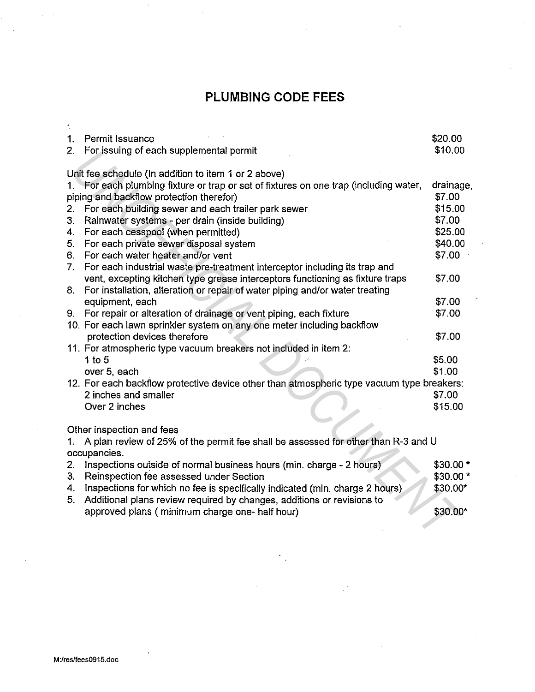# **PLUMBING CODE FEES**

| 1. | Permit Issuance                                                                           | \$20.00   |
|----|-------------------------------------------------------------------------------------------|-----------|
| 2. | For issuing of each supplemental permit                                                   | \$10.00   |
|    |                                                                                           |           |
|    | Unit fee schedule (In addition to item 1 or 2 above)                                      |           |
|    | 1. For each plumbing fixture or trap or set of fixtures on one trap (including water,     | drainage, |
|    | piping and backflow protection therefor)                                                  | \$7.00    |
| 2. | For each building sewer and each trailer park sewer                                       | \$15.00   |
| 3. | Rainwater systems - per drain (inside building)                                           | \$7.00    |
| 4. | For each cesspool (when permitted)                                                        | \$25.00   |
| 5. | For each private sewer disposal system                                                    | \$40.00   |
| 6. | For each water heater and/or vent                                                         | \$7.00    |
| 7. | For each industrial waste pre-treatment interceptor including its trap and                |           |
|    | vent, excepting kitchen type grease interceptors functioning as fixture traps             | \$7.00    |
| 8. | For installation, alteration or repair of water piping and/or water treating              |           |
|    | equipment, each                                                                           | \$7.00    |
| 9. | For repair or alteration of drainage or vent piping, each fixture                         | \$7.00    |
|    | 10. For each lawn sprinkler system on any one meter including backflow                    |           |
|    | protection devices therefore                                                              | \$7.00    |
|    | 11. For atmospheric type vacuum breakers not included in item 2:                          |           |
|    | 1 to $5$                                                                                  | \$5.00    |
|    | over 5, each                                                                              | \$1.00    |
|    | 12. For each backflow protective device other than atmospheric type vacuum type breakers: |           |
|    | 2 inches and smaller                                                                      | \$7.00    |
|    | Over 2 inches                                                                             | \$15.00   |
|    | Other inspection and fees                                                                 |           |
| 1. | A plan review of 25% of the permit fee shall be assessed for other than R-3 and U         |           |
|    | occupancies.                                                                              |           |
| 2. | Inspections outside of normal business hours (min. charge - 2 hours)                      | $$30.00*$ |
| 3. | Reinspection fee assessed under Section                                                   | $$30.00*$ |
| 4. | Inspections for which no fee is specifically indicated (min. charge 2 hours)              | \$30.00*  |
| 5. | Additional plans review required by changes, additions or revisions to                    |           |
|    | approved plans (minimum charge one- half hour)                                            | \$30.00*  |
|    |                                                                                           |           |
|    |                                                                                           |           |
|    |                                                                                           |           |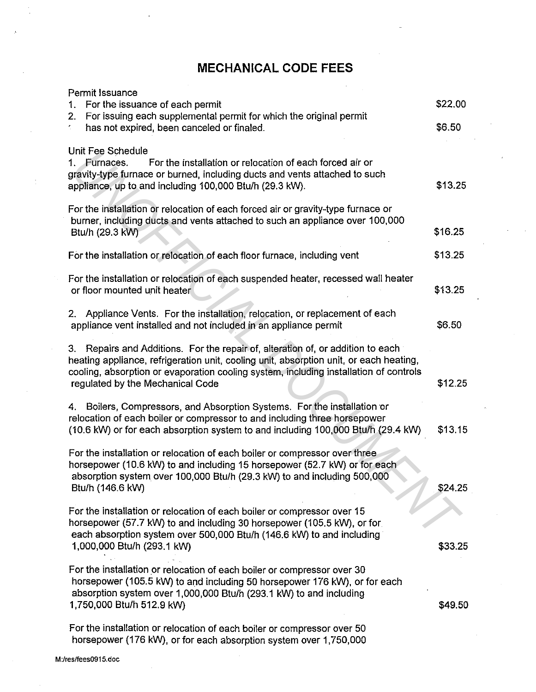## **MECHANICAL CODE FEES**

| Permit Issuance<br>For the issuance of each permit<br>1.                                                                                                                                                                                                                                               | \$22.00 |
|--------------------------------------------------------------------------------------------------------------------------------------------------------------------------------------------------------------------------------------------------------------------------------------------------------|---------|
| For issuing each supplemental permit for which the original permit<br>2.<br>has not expired, been canceled or finaled.                                                                                                                                                                                 | \$6.50  |
| Unit Fee Schedule<br>For the installation or relocation of each forced air or<br>Furnaces.<br>1.<br>gravity-type furnace or burned, including ducts and vents attached to such<br>appliance, up to and including 100,000 Btu/h (29.3 kW).                                                              | \$13.25 |
| For the installation or relocation of each forced air or gravity-type furnace or<br>burner, including ducts and vents attached to such an appliance over 100,000<br>Btu/h (29.3 kW)                                                                                                                    | \$16.25 |
| For the installation or relocation of each floor furnace, including vent                                                                                                                                                                                                                               | \$13.25 |
| For the installation or relocation of each suspended heater, recessed wall heater<br>or floor mounted unit heater                                                                                                                                                                                      | \$13.25 |
| 2. Appliance Vents. For the installation, relocation, or replacement of each<br>appliance vent installed and not included in an appliance permit                                                                                                                                                       | \$6.50  |
| 3. Repairs and Additions. For the repair of, alteration of, or addition to each<br>heating appliance, refrigeration unit, cooling unit, absorption unit, or each heating,<br>cooling, absorption or evaporation cooling system, including installation of controls<br>regulated by the Mechanical Code | \$12.25 |
| 4. Boilers, Compressors, and Absorption Systems. For the installation or<br>relocation of each boiler or compressor to and including three horsepower<br>(10.6 kW) or for each absorption system to and including 100,000 Btu/h (29.4 kW)                                                              | \$13.15 |
| For the installation or relocation of each boiler or compressor over three<br>horsepower (10.6 kW) to and including 15 horsepower (52.7 kW) or for each<br>absorption system over 100,000 Btu/h (29.3 kW) to and including 500,000<br>Btu/h (146.6 kW)                                                 | \$24.25 |
| For the installation or relocation of each boiler or compressor over 15<br>horsepower (57.7 kW) to and including 30 horsepower (105.5 kW), or for<br>each absorption system over 500,000 Btu/h (146.6 kW) to and including<br>1,000,000 Btu/h (293.1 kW)                                               | \$33.25 |
| For the installation or relocation of each boiler or compressor over 30<br>horsepower (105.5 kW) to and including 50 horsepower 176 kW), or for each<br>absorption system over 1,000,000 Btu/h (293.1 kW) to and including<br>1,750,000 Btu/h 512.9 kW)                                                | \$49.50 |
| For the installation or relocation of each boiler or compressor over 50<br>horsepower (176 kW), or for each absorption system over 1,750,000                                                                                                                                                           |         |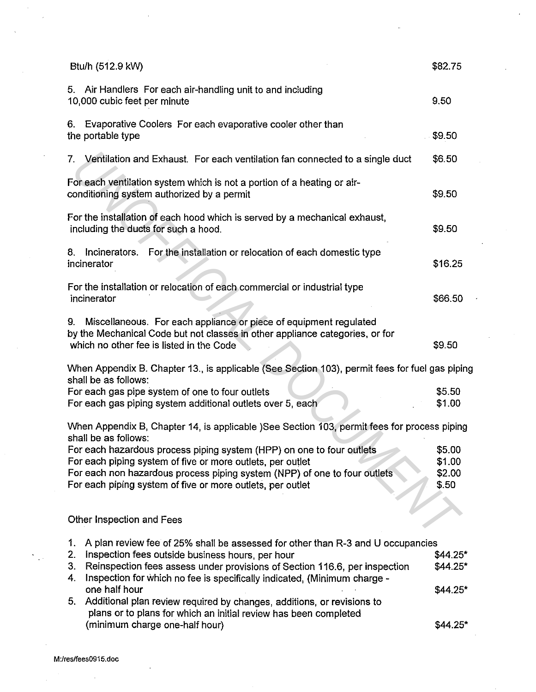| Btu/h (512.9 kW)                                                                                                                                                                                                                                                                                                                                                                                                                                                                                                             | \$82.75                                        |  |
|------------------------------------------------------------------------------------------------------------------------------------------------------------------------------------------------------------------------------------------------------------------------------------------------------------------------------------------------------------------------------------------------------------------------------------------------------------------------------------------------------------------------------|------------------------------------------------|--|
| 5. Air Handlers For each air-handling unit to and including<br>10,000 cubic feet per minute                                                                                                                                                                                                                                                                                                                                                                                                                                  | 9.50                                           |  |
| 6. Evaporative Coolers For each evaporative cooler other than<br>the portable type                                                                                                                                                                                                                                                                                                                                                                                                                                           | \$9.50                                         |  |
| 7. Ventilation and Exhaust. For each ventilation fan connected to a single duct                                                                                                                                                                                                                                                                                                                                                                                                                                              | \$6.50                                         |  |
| For each ventilation system which is not a portion of a heating or air-<br>conditioning system authorized by a permit                                                                                                                                                                                                                                                                                                                                                                                                        | \$9.50                                         |  |
| For the installation of each hood which is served by a mechanical exhaust,<br>including the ducts for such a hood.                                                                                                                                                                                                                                                                                                                                                                                                           | \$9.50                                         |  |
| Incinerators. For the installation or relocation of each domestic type<br>8.<br>incinerator                                                                                                                                                                                                                                                                                                                                                                                                                                  | \$16.25                                        |  |
| For the installation or relocation of each commercial or industrial type<br>incinerator                                                                                                                                                                                                                                                                                                                                                                                                                                      | \$66.50                                        |  |
| Miscellaneous. For each appliance or piece of equipment regulated<br>9.<br>by the Mechanical Code but not classes in other appliance categories, or for<br>which no other fee is listed in the Code                                                                                                                                                                                                                                                                                                                          | \$9.50                                         |  |
| When Appendix B. Chapter 13., is applicable (See Section 103), permit fees for fuel gas piping<br>shall be as follows:                                                                                                                                                                                                                                                                                                                                                                                                       |                                                |  |
| For each gas pipe system of one to four outlets<br>For each gas piping system additional outlets over 5, each                                                                                                                                                                                                                                                                                                                                                                                                                |                                                |  |
| When Appendix B, Chapter 14, is applicable )See Section 103, permit fees for process piping<br>shall be as follows:                                                                                                                                                                                                                                                                                                                                                                                                          |                                                |  |
| For each hazardous process piping system (HPP) on one to four outlets<br>For each piping system of five or more outlets, per outlet<br>For each non hazardous process piping system (NPP) of one to four outlets<br>For each piping system of five or more outlets, per outlet                                                                                                                                                                                                                                               | \$5.00<br>\$1.00<br>\$2.00<br>\$.50            |  |
| Other Inspection and Fees                                                                                                                                                                                                                                                                                                                                                                                                                                                                                                    |                                                |  |
| A plan review fee of 25% shall be assessed for other than R-3 and U occupancies<br>1.<br>2.<br>Inspection fees outside business hours, per hour<br>Reinspection fees assess under provisions of Section 116.6, per inspection<br>3.<br>Inspection for which no fee is specifically indicated, (Minimum charge -<br>4.<br>one half hour<br>Additional plan review required by changes, additions, or revisions to<br>5.<br>plans or to plans for which an initial review has been completed<br>(minimum charge one-half hour) | $$44.25*$<br>$$44.25*$<br>\$44.25*<br>\$44.25* |  |
|                                                                                                                                                                                                                                                                                                                                                                                                                                                                                                                              |                                                |  |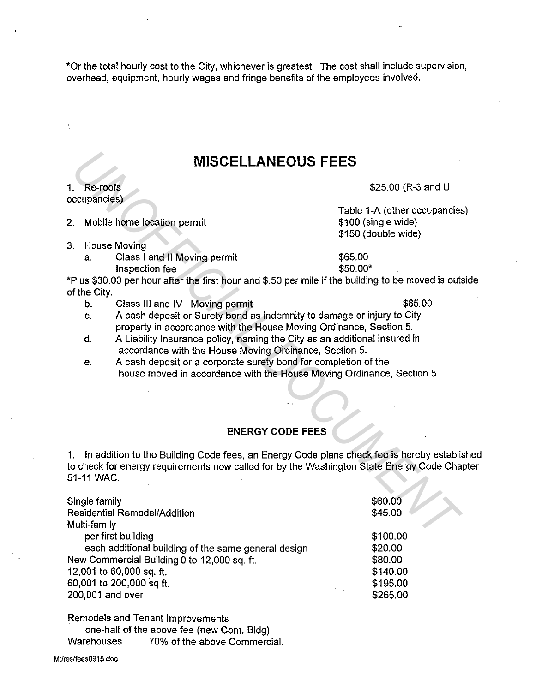\*Or the total hourly cost to the City, whichever is greatest. The cost shall include supervision, overhead, equipment, hourly wages and fringe benefits of the employees involved.

### **MISCELLANEOUS FEES**

#### 1. Re-roofs occupancies)

- 3. House Moving
	- a. Class I and II Moving permit 655.00

Table 1-A (other occupancies) \$100 (single wide) \$150 (double wide)

- 
- c. A cash deposit or Surety bond as indemnity to damage or injury to City property in accordance with the House Moving Ordinance, Section 5.
- d. A Liability Insurance policy, naming the City as an additional insured in accordance with the House Moving Ordinance, Section 5.
- e. A cash deposit or a corporate surety bond for completion of the house moved in accordance with the House Moving Ordinance, Section 5.

### **ENERGY CODE FEES**

1. In addition to the Building Code fees, an Energy Code plans check fee is hereby established to check for energy requirements now called for by the Washington State Energy Code Chapter 51-11 WAC.

|                                                                                                                                                                                                      | <b>MISCELLANEOUS FEES</b>                                                                                                                                                                                                                                                                                                                                                                                                                                                                                                                 |                                                                            |  |
|------------------------------------------------------------------------------------------------------------------------------------------------------------------------------------------------------|-------------------------------------------------------------------------------------------------------------------------------------------------------------------------------------------------------------------------------------------------------------------------------------------------------------------------------------------------------------------------------------------------------------------------------------------------------------------------------------------------------------------------------------------|----------------------------------------------------------------------------|--|
| 1.                                                                                                                                                                                                   | Re-roofs<br>occupancies)                                                                                                                                                                                                                                                                                                                                                                                                                                                                                                                  | \$25.00 (R-3 and U                                                         |  |
| 2.                                                                                                                                                                                                   | Mobile home location permit                                                                                                                                                                                                                                                                                                                                                                                                                                                                                                               | Table 1-A (other occupancies<br>\$100 (single wide)<br>\$150 (double wide) |  |
| 3.                                                                                                                                                                                                   | <b>House Moving</b><br>Class I and II Moving permit<br>a.<br>Inspection fee<br>*Plus \$30.00 per hour after the first hour and \$.50 per mile if the building to be moved is outs                                                                                                                                                                                                                                                                                                                                                         | \$65.00<br>\$50.00*                                                        |  |
|                                                                                                                                                                                                      | of the City.<br>\$65.00<br>Class III and IV Moving permit<br>b.<br>A cash deposit or Surety bond as indemnity to damage or injury to City<br>$C_{\rm{max}}$<br>property in accordance with the House Moving Ordinance, Section 5.<br>A Liability Insurance policy, naming the City as an additional insured in<br>$d_{\cdot}$<br>accordance with the House Moving Ordinance, Section 5.<br>A cash deposit or a corporate surety bond for completion of the<br>е.<br>house moved in accordance with the House Moving Ordinance, Section 5. |                                                                            |  |
|                                                                                                                                                                                                      | <b>ENERGY CODE FEES</b>                                                                                                                                                                                                                                                                                                                                                                                                                                                                                                                   |                                                                            |  |
| 1.                                                                                                                                                                                                   | In addition to the Building Code fees, an Energy Code plans check fee is hereby establis<br>to check for energy requirements now called for by the Washington State Energy Code Cha<br>51-11 WAC.                                                                                                                                                                                                                                                                                                                                         |                                                                            |  |
|                                                                                                                                                                                                      | Single family<br>Residential Remodel/Addition<br>Multi-family                                                                                                                                                                                                                                                                                                                                                                                                                                                                             | \$60.00<br>\$45.00                                                         |  |
| per first building<br>each additional building of the same general design<br>New Commercial Building 0 to 12,000 sq. ft.<br>12,001 to 60,000 sq. ft.<br>60,001 to 200,000 sq ft.<br>200,001 and over |                                                                                                                                                                                                                                                                                                                                                                                                                                                                                                                                           | \$100.00<br>\$20.00<br>\$80.00<br>\$140.00<br>\$195.00<br>\$265.00         |  |

Remodels and Tenant Improvements

one-half of the above fee (new Com. Bldg) Warehouses 70% of the above Commercial.

M:lres/fees0915.doc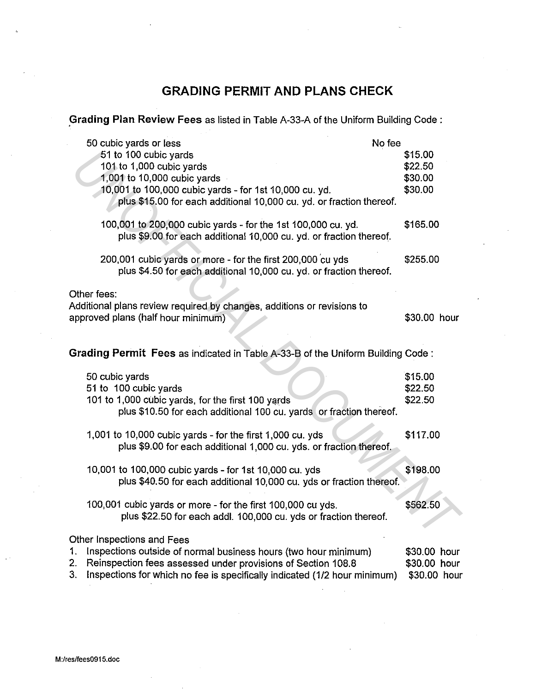## **GRADING PERMIT AND PLANS CHECK**

**.Grading Plan Review Fees** as listed in Table A-33-A of the Uniform Building Code :

| 50 cubic yards or less                                                                                                         | No fee       |
|--------------------------------------------------------------------------------------------------------------------------------|--------------|
| 51 to 100 cubic yards                                                                                                          | \$15.00      |
| 101 to 1,000 cubic yards                                                                                                       | \$22.50      |
| 1,001 to 10,000 cubic yards                                                                                                    | \$30.00      |
| 10,001 to 100,000 cubic yards - for 1st 10,000 cu. yd.<br>plus \$15.00 for each additional 10,000 cu. yd. or fraction thereof. | \$30.00      |
|                                                                                                                                |              |
| 100,001 to 200,000 cubic yards - for the 1st 100,000 cu. yd.                                                                   | \$165.00     |
| plus \$9.00 for each additional 10,000 cu. yd. or fraction thereof.                                                            |              |
| 200,001 cubic yards or more - for the first 200,000 cu yds                                                                     | \$255.00     |
| plus \$4.50 for each additional 10,000 cu. yd. or fraction thereof.                                                            |              |
| Other fees:                                                                                                                    |              |
| Additional plans review required by changes, additions or revisions to                                                         |              |
| approved plans (half hour minimum)                                                                                             | \$30.00 hour |
|                                                                                                                                |              |
| Grading Permit Fees as indicated in Table A-33-B of the Uniform Building Code:                                                 |              |
| 50 cubic yards                                                                                                                 | \$15.00      |
| 51 to 100 cubic yards                                                                                                          | \$22.50      |
| 101 to 1,000 cubic yards, for the first 100 yards                                                                              | \$22.50      |
| plus \$10.50 for each additional 100 cu. yards or fraction thereof.                                                            |              |
| 1,001 to 10,000 cubic yards - for the first 1,000 cu. yds                                                                      | \$117.00     |
| plus \$9.00 for each additional 1,000 cu. yds. or fraction thereof.                                                            |              |
|                                                                                                                                | \$198.00     |
| 10,001 to 100,000 cubic yards - for 1st 10,000 cu. yds<br>plus \$40.50 for each additional 10,000 cu. yds or fraction thereof. |              |
|                                                                                                                                |              |
| 100,001 cubic yards or more - for the first 100,000 cu yds.                                                                    | \$562.50     |
| plus \$22.50 for each addl. 100,000 cu. yds or fraction thereof.                                                               |              |
| Other Inspections and Fees                                                                                                     |              |
| 1.<br>Inspections outside of normal business hours (two hour minimum)                                                          | \$30.00 hour |
| 2.<br>Reinspection fees assessed under provisions of Section 108.8                                                             | \$30.00 hour |
| 3.<br>Inspections for which no fee is specifically indicated (1/2 hour minimum)                                                | \$30.00 hour |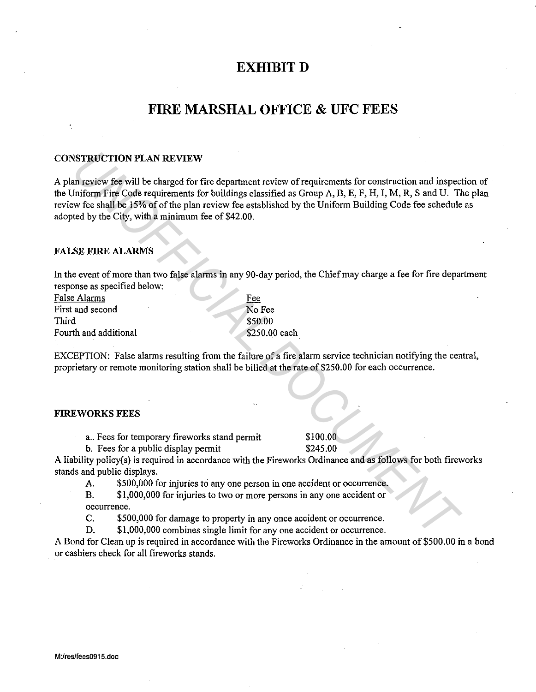### **EXHIBIT D**

## **FIRE MARSHAL OFFICE & UFC FEES**

#### CONSTRUCTION PLAN REVIEW

A plan review fee will be charged for fire department review of requirements for construction and inspection of the Uniform Fire Code requirements for buildings classified as Group A, B, E, F, H, I, M, R, Sand U. The plan review fee shall be 15% of of the plan review fee established by the Uniform Building Code fee schedule as adopted by the City, with a minimum fee of \$42.00. **EXERCITION PLAN REVIEW**<br> **EXERCITION PLAN REVIEW**<br> **EXERCITENTS (IDENTIFY COOP and CONSTRAINS** (IDENTIFY COOP ACTION) IN EXAMPLEMENT (IDENTIFY COOP ASSAMPLEMENT COOP ASSAMPLEMENT COOP ASSAMPLEMENT COOP ASSAMPLEMENT COOPER

#### FALSE FIRE ALARMS

In the event of more than two false alarms in any 90-day period, the Chief may charge a fee for fire department response as specified below:

| False Alarms          | Fee           |
|-----------------------|---------------|
| First and second      | No Fee        |
| Third                 | \$50.00       |
| Fourth and additional | \$250.00 each |

EXCEPTION: False alarms resulting from the failure of a fire alarm service technician notifying the central, proprietary or remote monitoring station shall be billed at the rate of \$250.00 for each occurrence.

#### FIREWORKS FEES

a.. Fees for temporary fireworks stand permit \$100.00

b. Fees for a public display permit \$245.00

A liability policy(s) is required in accordance with the Fireworks Ordinance and as follows for both fireworks stands and public displays.

A. \$500,000 for injuries to any one person in one accident or occurrence.

B. \$1,000,000 for injuries to two or more persons in any one accident or occurrence.

C. \$500,000 for damage to property in any once accident or occurrence.

D. \$1,000,000 combines single limit for any one accident or occurrence.

A Bond for Clean up is required in accordance with the Fireworks Ordinance in the amount of \$500.00 in a bond or cashiers check for all fireworks stands.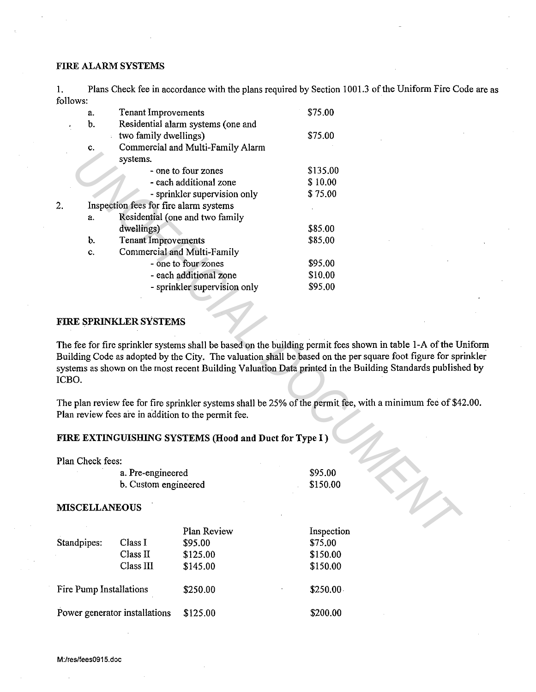### FIRE ALARM SYSTEMS

2.

1. Plans Check fee in accordance with the plans required by Section 1001.3 of the Uniform Fire Code are as follows:

|     | a.             | <b>Tenant Improvements</b>                          | \$75.00                                                                                                                                                                                                                                                                                                                   |
|-----|----------------|-----------------------------------------------------|---------------------------------------------------------------------------------------------------------------------------------------------------------------------------------------------------------------------------------------------------------------------------------------------------------------------------|
|     | b.             | Residential alarm systems (one and                  |                                                                                                                                                                                                                                                                                                                           |
|     |                | two family dwellings)                               | \$75.00                                                                                                                                                                                                                                                                                                                   |
|     | c.             | Commercial and Multi-Family Alarm                   |                                                                                                                                                                                                                                                                                                                           |
|     |                | systems.                                            |                                                                                                                                                                                                                                                                                                                           |
|     |                | - one to four zones                                 | \$135.00                                                                                                                                                                                                                                                                                                                  |
|     |                | - each additional zone                              | \$10.00                                                                                                                                                                                                                                                                                                                   |
|     |                | - sprinkler supervision only                        | \$75.00                                                                                                                                                                                                                                                                                                                   |
|     |                | Inspection fees for fire alarm systems              |                                                                                                                                                                                                                                                                                                                           |
|     | a.             | Residential (one and two family                     |                                                                                                                                                                                                                                                                                                                           |
|     |                | dwellings)                                          | \$85.00                                                                                                                                                                                                                                                                                                                   |
|     | b.             | <b>Tenant Improvements</b>                          | \$85.00                                                                                                                                                                                                                                                                                                                   |
|     | c.             | Commercial and Multi-Family                         |                                                                                                                                                                                                                                                                                                                           |
|     |                | - one to four zones                                 | \$95.00                                                                                                                                                                                                                                                                                                                   |
|     |                | - each additional zone                              | \$10.00                                                                                                                                                                                                                                                                                                                   |
|     |                | - sprinkler supervision only                        | \$95.00                                                                                                                                                                                                                                                                                                                   |
| BO. |                | RE SPRINKLER SYSTEMS                                | e fee for fire sprinkler systems shall be based on the building permit fees shown in table 1-A of the U<br>iilding Code as adopted by the City. The valuation shall be based on the per square foot figure for spr<br>stems as shown on the most recent Building Valuation Data printed in the Building Standards publish |
|     |                | an review fees are in addition to the permit fee.   | e plan review fee for fire sprinkler systems shall be 25% of the permit fee, with a minimum fee of \$4.                                                                                                                                                                                                                   |
|     |                | RE EXTINGUISHING SYSTEMS (Hood and Duct for Type I) |                                                                                                                                                                                                                                                                                                                           |
|     | an Check fees: |                                                     |                                                                                                                                                                                                                                                                                                                           |
|     |                | a. Pre-engineered                                   | \$95.00                                                                                                                                                                                                                                                                                                                   |
|     |                | b. Custom engineered                                | \$150.00                                                                                                                                                                                                                                                                                                                  |
|     |                |                                                     |                                                                                                                                                                                                                                                                                                                           |
|     |                | <b>ISCELLANEOUS</b>                                 |                                                                                                                                                                                                                                                                                                                           |
|     |                | Plan Review                                         | Inspection                                                                                                                                                                                                                                                                                                                |
|     |                |                                                     |                                                                                                                                                                                                                                                                                                                           |

### FIRE SPRINKLER SYSTEMS

The fee for fire sprinkler systems shall be based on the building permit fees shown in table 1-A of the Uniform Building Code as adopted by the City. The valuation shall be based on the per square foot figure for sprinkler systems as shown on the most recent Building Valuation Data printed in the Building Standards published by ICBO.

The plan review fee for fire sprinkler systems shall be 25% of the permit fee, with a minimum fee of \$42.00. Plan review fees are in addition to the permit fee.

### FIRE EXTINGUISHING SYSTEMS (Hood and Duct for Type I)

Plan Check fees:

#### MISCELLANEOUS

|                               |           | Plan Review | Inspection |
|-------------------------------|-----------|-------------|------------|
| Standpipes:                   | Class I   | \$95.00     | \$75.00    |
|                               | Class II  | \$125.00    | \$150.00   |
|                               | Class III | \$145.00    | \$150.00   |
| Fire Pump Installations       |           | \$250.00    | \$250.00   |
| Power generator installations |           | \$125.00    | \$200.00   |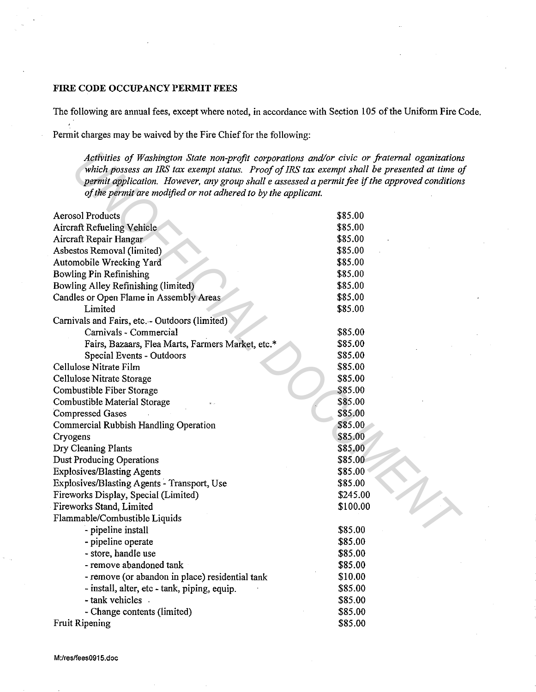### FIRE CODE OCCUPANCY PERMIT FEES

The following are annual fees, except where noted, in accordance with Section 105 of the Uniform Fire Code.

Permit charges may be waived by the Fire Chief for the following:

| Activities of Washington State non-profit corporations and/or civic or fraternal oganizations<br>which possess an IRS tax exempt status. Proof of IRS tax exempt shall be presented at time of |          |
|------------------------------------------------------------------------------------------------------------------------------------------------------------------------------------------------|----------|
| permit application. However, any group shall e assessed a permit fee if the approved condition.                                                                                                |          |
| of the permit are modified or not adhered to by the applicant.                                                                                                                                 |          |
|                                                                                                                                                                                                |          |
| <b>Aerosol Products</b>                                                                                                                                                                        | \$85.00  |
| <b>Aircraft Refueling Vehicle</b>                                                                                                                                                              | \$85.00  |
| Aircraft Repair Hangar                                                                                                                                                                         | \$85.00  |
| Asbestos Removal (limited)                                                                                                                                                                     | \$85.00  |
| Automobile Wrecking Yard                                                                                                                                                                       | \$85.00  |
| Bowling Pin Refinishing                                                                                                                                                                        | \$85.00  |
| Bowling Alley Refinishing (limited)                                                                                                                                                            | \$85.00  |
| Candles or Open Flame in Assembly Areas                                                                                                                                                        | \$85.00  |
| Limited                                                                                                                                                                                        | \$85.00  |
| Carnivals and Fairs, etc. - Outdoors (limited)                                                                                                                                                 |          |
| Carnivals - Commercial                                                                                                                                                                         | \$85.00  |
| Fairs, Bazaars, Flea Marts, Farmers Market, etc.*                                                                                                                                              | \$85.00  |
| Special Events - Outdoors                                                                                                                                                                      | \$85.00  |
| Cellulose Nitrate Film                                                                                                                                                                         | \$85.00  |
| Cellulose Nitrate Storage                                                                                                                                                                      | \$85.00  |
| Combustible Fiber Storage                                                                                                                                                                      | \$85.00  |
| Combustible Material Storage                                                                                                                                                                   | \$85.00  |
| <b>Compressed Gases</b>                                                                                                                                                                        | \$85.00  |
| Commercial Rubbish Handling Operation                                                                                                                                                          | \$85.00  |
| Cryogens                                                                                                                                                                                       | \$85.00  |
| Dry Cleaning Plants                                                                                                                                                                            | \$85.00  |
| <b>Dust Producing Operations</b>                                                                                                                                                               | \$85.00  |
| <b>Explosives/Blasting Agents</b>                                                                                                                                                              | \$85.00  |
| Explosives/Blasting Agents - Transport, Use                                                                                                                                                    | \$85.00  |
| Fireworks Display, Special (Limited)                                                                                                                                                           | \$245.00 |
| Fireworks Stand, Limited                                                                                                                                                                       | \$100.00 |
| Flammable/Combustible Liquids                                                                                                                                                                  |          |
| - pipeline install                                                                                                                                                                             | \$85.00  |
| - pipeline operate                                                                                                                                                                             | \$85.00  |
| - store, handle use                                                                                                                                                                            | \$85.00  |
| - remove abandoned tank                                                                                                                                                                        | \$85.00  |
| - remove (or abandon in place) residential tank                                                                                                                                                | \$10.00  |
| - install, alter, etc - tank, piping, equip.                                                                                                                                                   | \$85.00  |
| - tank vehicles .                                                                                                                                                                              | \$85.00  |
| - Change contents (limited)                                                                                                                                                                    | \$85.00  |
| Fruit Ripening                                                                                                                                                                                 | \$85.00  |